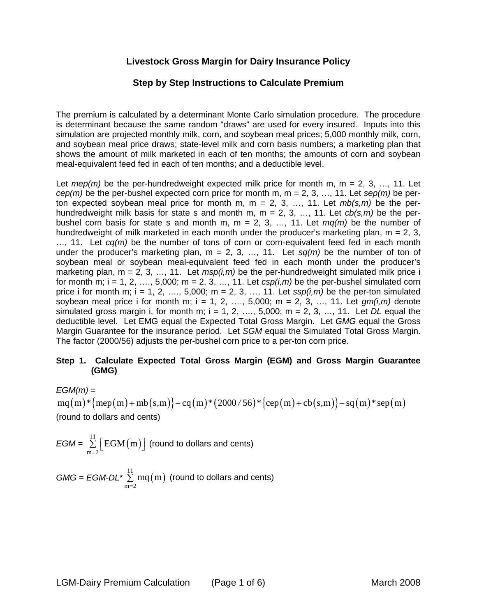# **Livestock Gross Margin for Dairy Insurance Policy**

## **Step by Step Instructions to Calculate Premium**

The premium is calculated by a determinant Monte Carlo simulation procedure. The procedure is determinant because the same random "draws" are used for every insured. Inputs into this simulation are projected monthly milk, corn, and soybean meal prices; 5,000 monthly milk, corn, and soybean meal price draws; state-level milk and corn basis numbers; a marketing plan that shows the amount of milk marketed in each of ten months; the amounts of corn and soybean meal-equivalent feed fed in each of ten months; and a deductible level.

Let  $mep(m)$  be the per-hundredweight expected milk price for month m, m = 2, 3, ..., 11. Let *cep(m)* be the per-bushel expected corn price for month m, m = 2, 3, …, 11. Let *sep(m)* be perton expected soybean meal price for month m, m = 2, 3, …, 11. Let *mb(s,m)* be the perhundredweight milk basis for state s and month m, m = 2, 3, …, 11. Let *cb(s,m)* be the perbushel corn basis for state s and month m,  $m = 2, 3, \ldots, 11$ . Let  $mq(m)$  be the number of hundredweight of milk marketed in each month under the producer's marketing plan,  $m = 2, 3$ , …, 11. Let *cq(m)* be the number of tons of corn or corn-equivalent feed fed in each month under the producer's marketing plan,  $m = 2, 3, ..., 11$ . Let  $sq(m)$  be the number of ton of soybean meal or soybean meal-equivalent feed fed in each month under the producer's marketing plan,  $m = 2, 3, ..., 11$ . Let  $msp(i,m)$  be the per-hundredweight simulated milk price i for month m;  $i = 1, 2, \ldots, 5,000$ ; m = 2, 3, ..., 11. Let  $csp(i,m)$  be the per-bushel simulated corn price i for month m;  $i = 1, 2, \ldots, 5,000$ ;  $m = 2, 3, \ldots, 11$ . Let  $\frac{sign(i,m)}{m}$  be the per-ton simulated soybean meal price i for month m;  $i = 1, 2, ..., 5,000$ ; m = 2, 3, ..., 11. Let  $qm(i,m)$  denote simulated gross margin i, for month m;  $i = 1, 2, \ldots, 5,000$ ;  $m = 2, 3, \ldots, 11$ . Let *DL* equal the deductible level. Let EMG equal the Expected Total Gross Margin. Let *GMG* equal the Gross Margin Guarantee for the insurance period. Let *SGM* equal the Simulated Total Gross Margin. The factor (2000/56) adjusts the per-bushel corn price to a per-ton corn price.

#### **Step 1. Calculate Expected Total Gross Margin (EGM) and Gross Margin Guarantee (GMG)**

*EGM(m)* =  $mg(m)*{mep(m)+mb(s,m)}-cq(m)*(2000/56)*{cep(m)+cb(s,m)}-sq(m)*sep(m)$ (round to dollars and cents)

$$
EGM = \sum_{m=2}^{11} \Big[ EGM(m) \Big] \text{ (round to dollars and cents)}
$$

 $GMG = EGM-DL^* \sum_{m=1}^{11} mq(m)$  (round to dollars and cents)  $m = 2$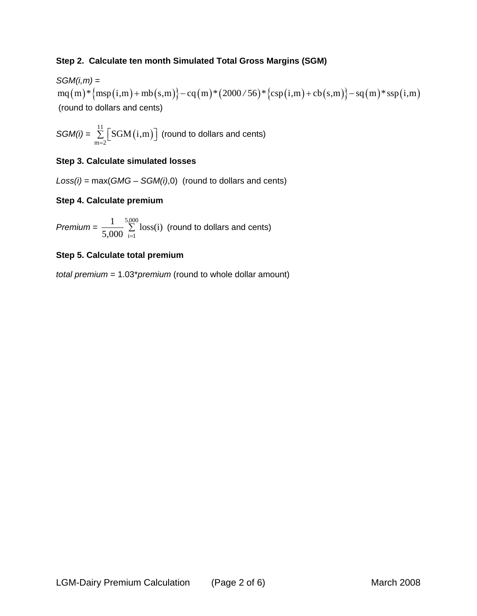### **Step 2. Calculate ten month Simulated Total Gross Margins (SGM)**

*SGM(i,m)* = mq(m)\*{msp(i,m) + mb(s,m)} – cq(m)\*(2000/56)\*{csp(i,m) + cb(s,m)} – sq(m)\*ssp(i,m) (round to dollars and cents)

 $SGM(i) = \sum_{m=2}^{11} \left[ SGM(i,m) \right]$  (round to dollars and cents)

#### **Step 3. Calculate simulated losses**

*Loss(i)* = max(*GMG* – *SGM(i)*,0) (round to dollars and cents)

#### **Step 4. Calculate premium**

*Premium* =  $\frac{1}{5,000} \sum_{i=1}^{5,000} \text{loss}(i)$  (round to dollars and cents)

#### **Step 5. Calculate total premium**

*total premium* = 1.03\**premium* (round to whole dollar amount)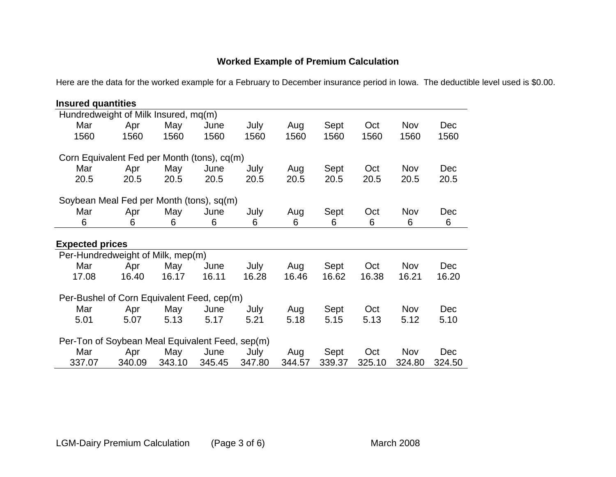# **Worked Example of Premium Calculation**

Here are the data for the worked example for a February to December insurance period in Iowa. The deductible level used is \$0.00.

| <b>Insured quantities</b>                       |        |        |        |        |        |        |        |            |            |
|-------------------------------------------------|--------|--------|--------|--------|--------|--------|--------|------------|------------|
| Hundredweight of Milk Insured, mq(m)            |        |        |        |        |        |        |        |            |            |
| Mar                                             | Apr    | May    | June   | July   | Aug    | Sept   | Oct    | Nov        | <b>Dec</b> |
| 1560                                            | 1560   | 1560   | 1560   | 1560   | 1560   | 1560   | 1560   | 1560       | 1560       |
| Corn Equivalent Fed per Month (tons), cq(m)     |        |        |        |        |        |        |        |            |            |
| Mar                                             | Apr    | May    | June   | July   | Aug    | Sept   | Oct    | <b>Nov</b> | Dec        |
| 20.5                                            | 20.5   | 20.5   | 20.5   | 20.5   | 20.5   | 20.5   | 20.5   | 20.5       | 20.5       |
| Soybean Meal Fed per Month (tons), sq(m)        |        |        |        |        |        |        |        |            |            |
| Mar                                             | Apr    | May    | June   | July   | Aug    | Sept   | Oct    | Nov        | Dec        |
| 6                                               | 6      | 6      | 6      | 6      | 6      | 6      | 6      | 6          | 6          |
| <b>Expected prices</b>                          |        |        |        |        |        |        |        |            |            |
| Per-Hundredweight of Milk, mep(m)               |        |        |        |        |        |        |        |            |            |
| Mar                                             | Apr    | May    | June   | July   | Aug    | Sept   | Oct    | Nov        | <b>Dec</b> |
| 17.08                                           | 16.40  | 16.17  | 16.11  | 16.28  | 16.46  | 16.62  | 16.38  | 16.21      | 16.20      |
| Per-Bushel of Corn Equivalent Feed, cep(m)      |        |        |        |        |        |        |        |            |            |
| Mar                                             | Apr    | May    | June   | July   | Aug    | Sept   | Oct    | <b>Nov</b> | <b>Dec</b> |
| 5.01                                            | 5.07   | 5.13   | 5.17   | 5.21   | 5.18   | 5.15   | 5.13   | 5.12       | 5.10       |
| Per-Ton of Soybean Meal Equivalent Feed, sep(m) |        |        |        |        |        |        |        |            |            |
| Mar                                             | Apr    | May    | June   | July   | Aug    | Sept   | Oct    | <b>Nov</b> | <b>Dec</b> |
| 337.07                                          | 340.09 | 343.10 | 345.45 | 347.80 | 344.57 | 339.37 | 325.10 | 324.80     | 324.50     |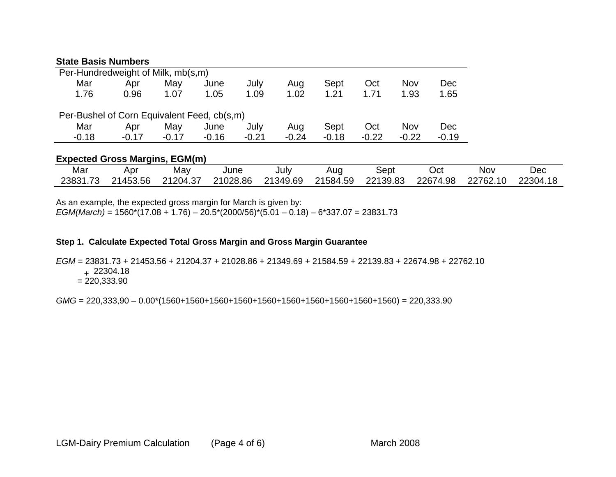#### **State Basis Numbers**

| Per-Hundredweight of Milk, mb(s,m)          |         |         |         |         |         |         |         |         |         |
|---------------------------------------------|---------|---------|---------|---------|---------|---------|---------|---------|---------|
| Mar                                         | Apr     | May     | June    | July    | Aug     | Sept    | Oct     | Nov     | Dec     |
| 1.76                                        | 0.96    | 1.07    | 1.05    | 1.09    | 1.02    | 1.21    | 1.71    | 1.93    | 1.65    |
|                                             |         |         |         |         |         |         |         |         |         |
| Per-Bushel of Corn Equivalent Feed, cb(s,m) |         |         |         |         |         |         |         |         |         |
| Mar                                         | Apr     | May     | June    | July    | Aug     | Sept    | Oct     | Nov     | Dec     |
| $-0.18$                                     | $-0.17$ | $-0.17$ | $-0.16$ | $-0.21$ | $-0.24$ | $-0.18$ | $-0.22$ | $-0.22$ | $-0.19$ |

## **Expected Gross Margins, EGM(m)**

| Mar      | Apr      | May      | June     | July     | Aug      | Sept     | Oct      | Nov      | Dec      |
|----------|----------|----------|----------|----------|----------|----------|----------|----------|----------|
| 23831.73 | 21453.56 | 21204.37 | 21028.86 | 21349.69 | 21584.59 | 22139.83 | 22674.98 | 22762.10 | 22304.18 |

As an example, the expected gross margin for March is given by:

*EGM(March)* = 1560\*(17.08 + 1.76) – 20.5\*(2000/56)\*(5.01 – 0.18) – 6\*337.07 = 23831.73

## **Step 1. Calculate Expected Total Gross Margin and Gross Margin Guarantee**

*EGM* = 23831.73 + 21453.56 + 21204.37 + 21028.86 + 21349.69 + 21584.59 + 22139.83 + 22674.98 + 22762.10

<sup>+</sup>22304.18

 $= 220.333.90$ 

*GMG* = 220,333,90 – 0.00\*(1560+1560+1560+1560+1560+1560+1560+1560+1560+1560) = 220,333.90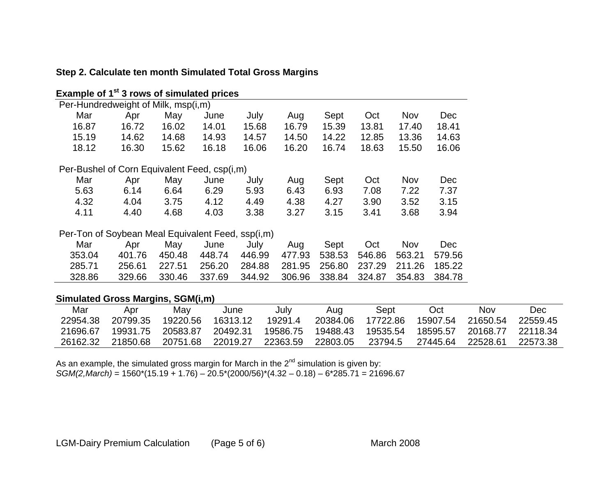| Example of 1 <sup>st</sup> 3 rows of simulated prices |        |        |        |        |        |        |        |        |        |
|-------------------------------------------------------|--------|--------|--------|--------|--------|--------|--------|--------|--------|
| Per-Hundredweight of Milk, msp(i,m)                   |        |        |        |        |        |        |        |        |        |
| Mar                                                   | Apr    | May    | June   | July   | Aug    | Sept   | Oct    | Nov    | Dec    |
| 16.87                                                 | 16.72  | 16.02  | 14.01  | 15.68  | 16.79  | 15.39  | 13.81  | 17.40  | 18.41  |
| 15.19                                                 | 14.62  | 14.68  | 14.93  | 14.57  | 14.50  | 14.22  | 12.85  | 13.36  | 14.63  |
| 18.12                                                 | 16.30  | 15.62  | 16.18  | 16.06  | 16.20  | 16.74  | 18.63  | 15.50  | 16.06  |
| Per-Bushel of Corn Equivalent Feed, csp(i,m)          |        |        |        |        |        |        |        |        |        |
| Mar                                                   | Apr    | May    | June   | July   | Aug    | Sept   | Oct    | Nov    | Dec    |
| 5.63                                                  | 6.14   | 6.64   | 6.29   | 5.93   | 6.43   | 6.93   | 7.08   | 7.22   | 7.37   |
| 4.32                                                  | 4.04   | 3.75   | 4.12   | 4.49   | 4.38   | 4.27   | 3.90   | 3.52   | 3.15   |
| 4.11                                                  | 4.40   | 4.68   | 4.03   | 3.38   | 3.27   | 3.15   | 3.41   | 3.68   | 3.94   |
| Per-Ton of Soybean Meal Equivalent Feed, ssp(i,m)     |        |        |        |        |        |        |        |        |        |
| Mar                                                   | Apr    | May    | June   | July   | Aug    | Sept   | Oct    | Nov    | Dec    |
| 353.04                                                | 401.76 | 450.48 | 448.74 | 446.99 | 477.93 | 538.53 | 546.86 | 563.21 | 579.56 |
| 285.71                                                | 256.61 | 227.51 | 256.20 | 284.88 | 281.95 | 256.80 | 237.29 | 211.26 | 185.22 |
| 328.86                                                | 329.66 | 330.46 | 337.69 | 344.92 | 306.96 | 338.84 | 324.87 | 354.83 | 384.78 |

# **Step 2. Calculate ten month Simulated Total Gross Margins**

## **Simulated Gross Margins, SGM(i,m)**

| Mar      | Apr      | Mav      | June     | July     | Aua      | Sept     | Oct      | Nov      | Dec       |
|----------|----------|----------|----------|----------|----------|----------|----------|----------|-----------|
| 22954.38 | 20799.35 | 19220.56 | 16313.12 | 19291.4  | 20384.06 | 17722.86 | 15907.54 | 21650.54 | 22559.45  |
| 21696.67 | 19931.75 | 20583.87 | 20492.31 | 19586.75 | 19488.43 | 19535.54 | 18595.57 | 20168.77 | 22118.34  |
| 26162.32 | 21850.68 | 20751.68 | 22019.27 | 22363.59 | 22803.05 | 23794.5  | 27445.64 | 22528.61 | -22573.38 |

As an example, the simulated gross margin for March in the  $2^{nd}$  simulation is given by: *SGM(2,March)* = 1560\*(15.19 + 1.76) – 20.5\*(2000/56)\*(4.32 – 0.18) – 6\*285.71 = 21696.67